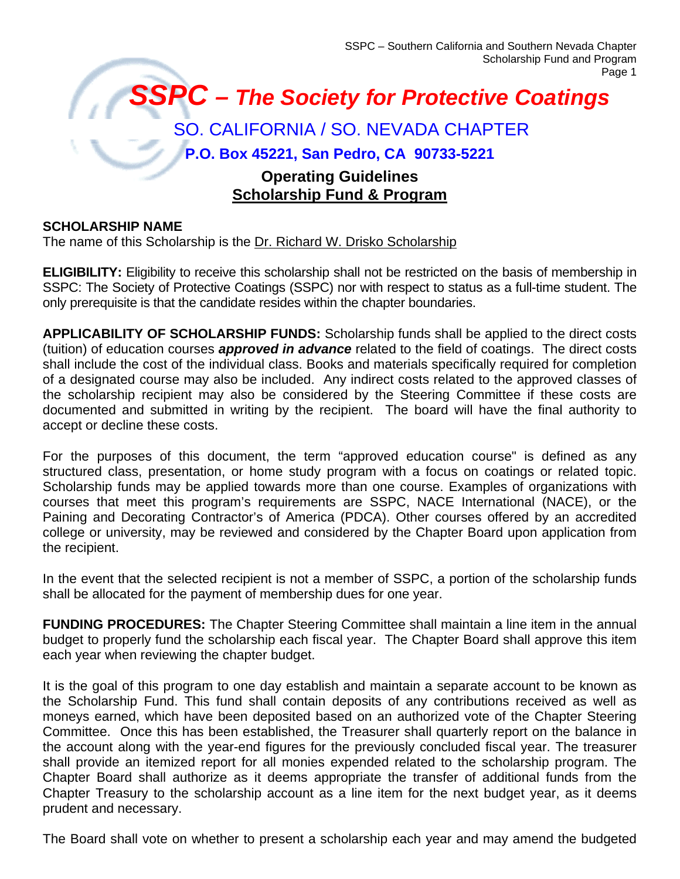# *SSPC – The Society for Protective Coatings* SO. CALIFORNIA / SO. NEVADA CHAPTER **P.O. Box 45221, San Pedro, CA 90733-5221 Operating Guidelines Scholarship Fund & Program**

## **SCHOLARSHIP NAME**

The name of this Scholarship is the Dr. Richard W. Drisko Scholarship

**ELIGIBILITY:** Eligibility to receive this scholarship shall not be restricted on the basis of membership in SSPC: The Society of Protective Coatings (SSPC) nor with respect to status as a full-time student. The only prerequisite is that the candidate resides within the chapter boundaries.

**APPLICABILITY OF SCHOLARSHIP FUNDS:** Scholarship funds shall be applied to the direct costs (tuition) of education courses *approved in advance* related to the field of coatings. The direct costs shall include the cost of the individual class. Books and materials specifically required for completion of a designated course may also be included. Any indirect costs related to the approved classes of the scholarship recipient may also be considered by the Steering Committee if these costs are documented and submitted in writing by the recipient. The board will have the final authority to accept or decline these costs.

For the purposes of this document, the term "approved education course" is defined as any structured class, presentation, or home study program with a focus on coatings or related topic. Scholarship funds may be applied towards more than one course. Examples of organizations with courses that meet this program's requirements are SSPC, NACE International (NACE), or the Paining and Decorating Contractor's of America (PDCA). Other courses offered by an accredited college or university, may be reviewed and considered by the Chapter Board upon application from the recipient.

In the event that the selected recipient is not a member of SSPC, a portion of the scholarship funds shall be allocated for the payment of membership dues for one year.

**FUNDING PROCEDURES:** The Chapter Steering Committee shall maintain a line item in the annual budget to properly fund the scholarship each fiscal year. The Chapter Board shall approve this item each year when reviewing the chapter budget.

It is the goal of this program to one day establish and maintain a separate account to be known as the Scholarship Fund. This fund shall contain deposits of any contributions received as well as moneys earned, which have been deposited based on an authorized vote of the Chapter Steering Committee. Once this has been established, the Treasurer shall quarterly report on the balance in the account along with the year-end figures for the previously concluded fiscal year. The treasurer shall provide an itemized report for all monies expended related to the scholarship program. The Chapter Board shall authorize as it deems appropriate the transfer of additional funds from the Chapter Treasury to the scholarship account as a line item for the next budget year, as it deems prudent and necessary.

The Board shall vote on whether to present a scholarship each year and may amend the budgeted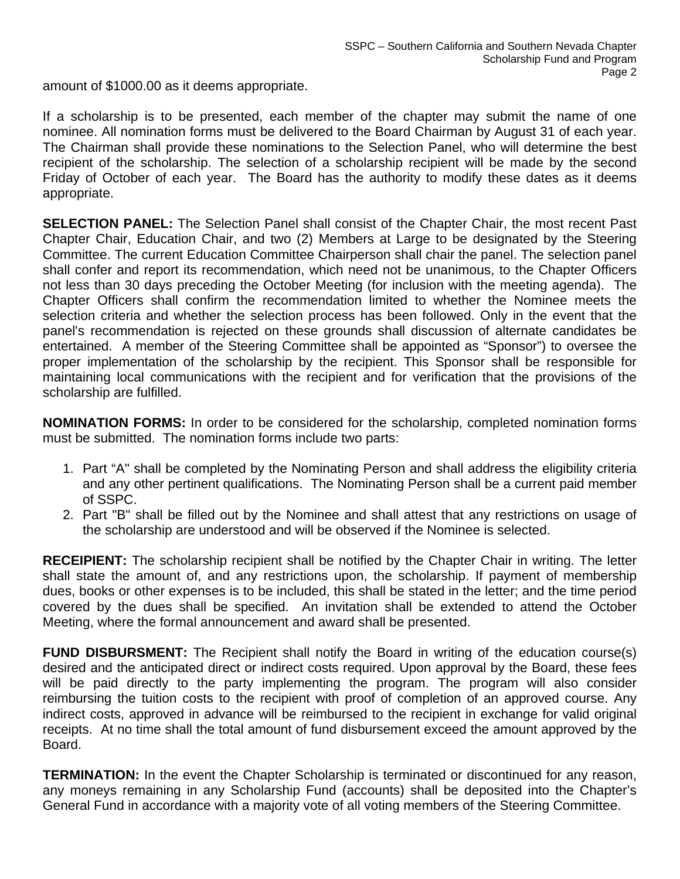amount of \$1000.00 as it deems appropriate.

If a scholarship is to be presented, each member of the chapter may submit the name of one nominee. All nomination forms must be delivered to the Board Chairman by August 31 of each year. The Chairman shall provide these nominations to the Selection Panel, who will determine the best recipient of the scholarship. The selection of a scholarship recipient will be made by the second Friday of October of each year. The Board has the authority to modify these dates as it deems appropriate.

**SELECTION PANEL:** The Selection Panel shall consist of the Chapter Chair, the most recent Past Chapter Chair, Education Chair, and two (2) Members at Large to be designated by the Steering Committee. The current Education Committee Chairperson shall chair the panel. The selection panel shall confer and report its recommendation, which need not be unanimous, to the Chapter Officers not less than 30 days preceding the October Meeting (for inclusion with the meeting agenda). The Chapter Officers shall confirm the recommendation limited to whether the Nominee meets the selection criteria and whether the selection process has been followed. Only in the event that the panel's recommendation is rejected on these grounds shall discussion of alternate candidates be entertained. A member of the Steering Committee shall be appointed as "Sponsor") to oversee the proper implementation of the scholarship by the recipient. This Sponsor shall be responsible for maintaining local communications with the recipient and for verification that the provisions of the scholarship are fulfilled.

**NOMINATION FORMS:** In order to be considered for the scholarship, completed nomination forms must be submitted. The nomination forms include two parts:

- 1. Part "A" shall be completed by the Nominating Person and shall address the eligibility criteria and any other pertinent qualifications. The Nominating Person shall be a current paid member of SSPC.
- 2. Part "B" shall be filled out by the Nominee and shall attest that any restrictions on usage of the scholarship are understood and will be observed if the Nominee is selected.

**RECEIPIENT:** The scholarship recipient shall be notified by the Chapter Chair in writing. The letter shall state the amount of, and any restrictions upon, the scholarship. If payment of membership dues, books or other expenses is to be included, this shall be stated in the letter; and the time period covered by the dues shall be specified. An invitation shall be extended to attend the October Meeting, where the formal announcement and award shall be presented.

**FUND DISBURSMENT:** The Recipient shall notify the Board in writing of the education course(s) desired and the anticipated direct or indirect costs required. Upon approval by the Board, these fees will be paid directly to the party implementing the program. The program will also consider reimbursing the tuition costs to the recipient with proof of completion of an approved course. Any indirect costs, approved in advance will be reimbursed to the recipient in exchange for valid original receipts. At no time shall the total amount of fund disbursement exceed the amount approved by the Board.

**TERMINATION:** In the event the Chapter Scholarship is terminated or discontinued for any reason, any moneys remaining in any Scholarship Fund (accounts) shall be deposited into the Chapter's General Fund in accordance with a majority vote of all voting members of the Steering Committee.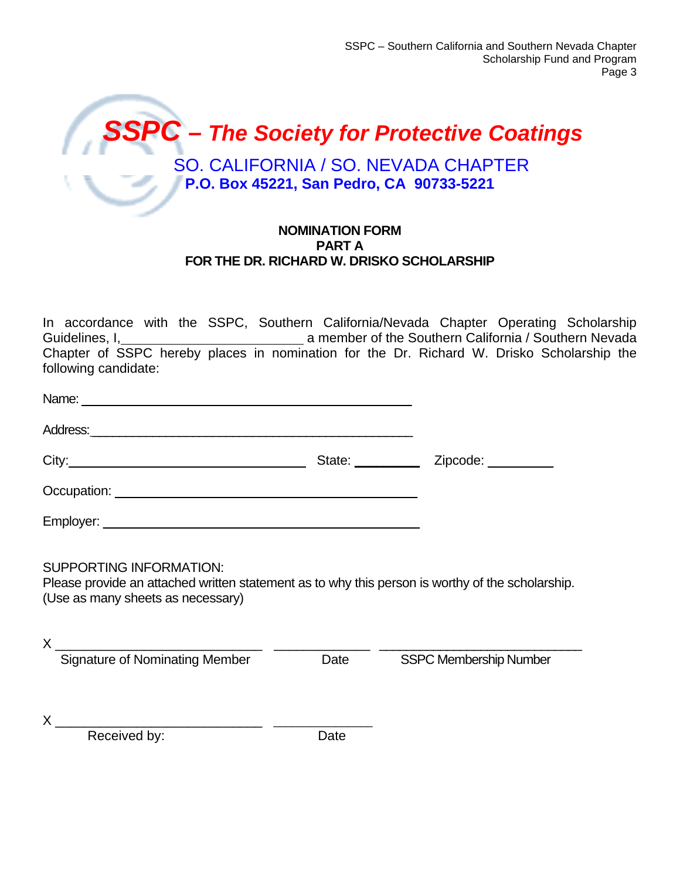

#### **NOMINATION FORM PART A FOR THE DR. RICHARD W. DRISKO SCHOLARSHIP**

In accordance with the SSPC, Southern California/Nevada Chapter Operating Scholarship Guidelines, I, Alleman and Communication California / Southern Nevada Chapter of SSPC hereby places in nomination for the Dr. Richard W. Drisko Scholarship the following candidate:

| Address: <u>example and a series of the series of the series of the series of the series of the series of the series of the series of the series of the series of the series of the series of the series of the series of the se</u> |      |                               |
|--------------------------------------------------------------------------------------------------------------------------------------------------------------------------------------------------------------------------------------|------|-------------------------------|
|                                                                                                                                                                                                                                      |      |                               |
|                                                                                                                                                                                                                                      |      |                               |
|                                                                                                                                                                                                                                      |      |                               |
| <b>SUPPORTING INFORMATION:</b><br>Please provide an attached written statement as to why this person is worthy of the scholarship.<br>(Use as many sheets as necessary)                                                              |      |                               |
| Signature of Nominating Member                                                                                                                                                                                                       | Date | <b>SSPC Membership Number</b> |
| Received by:                                                                                                                                                                                                                         | Date |                               |